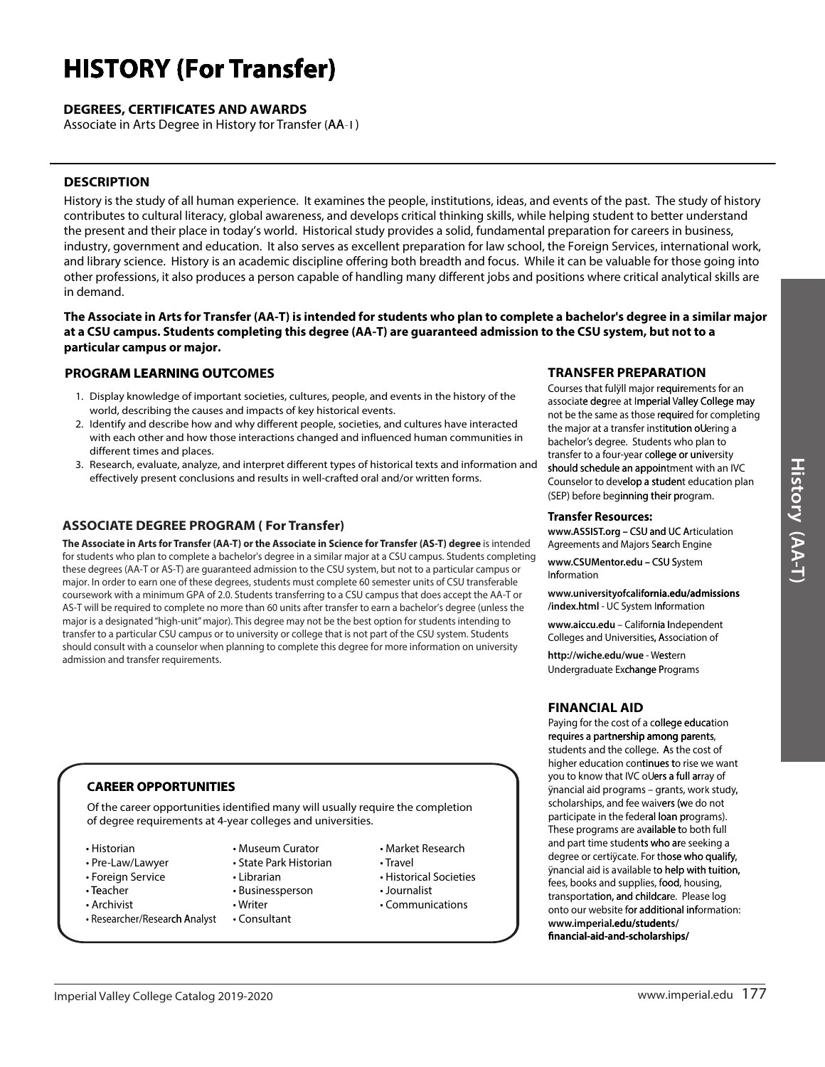# **HISTORY (For Transfer)**

#### **DEGREES, CERTIFICATES AND AWARDS**

Associate in Arts Degree in History for Transfer (AA-T)

#### **DESCRIPTION**

History is the study of all human experience. It examines the people, institutions, ideas, and events of the past. The study of history contributes to cultural literacy, global awareness, and develops critical thinking skills, while helping student to better understand the present and their place in today's world. Historical study provides a solid, fundamental preparation for careers in business, industry, government and education. It also serves as excellent preparation for law school, the Foreign Services, international work, and library science. History is an academic discipline offering both breadth and focus. While it can be valuable for those going into other professions, it also produces a person capable of handling many different jobs and positions where critical analytical skills are in demand.

The Associate in Arts for Transfer (AA-T) is intended for students who plan to complete a bachelor's degree in a similar major at a CSU campus. Students completing this degree (AA-T) are guaranteed admission to the CSU system, but not to a particular campus or major.

#### **PROGRAM LEARNING OUTCOMES**

- 1. Display knowledge of important societies, cultures, people, and events in the history of the world, describing the causes and impacts of key historical events.
- 2. Identify and describe how and why different people, societies, and cultures have interacted with each other and how those interactions changed and influenced human communities in different times and places.
- 3. Research, evaluate, analyze, and interpret different types of historical texts and information and effectively present conclusions and results in well-crafted oral and/or written forms.

#### **ASSOCIATE DEGREE PROGRAM (For Transfer)**

The Associate in Arts for Transfer (AA-T) or the Associate in Science for Transfer (AS-T) degree is intended for students who plan to complete a bachelor's degree in a similar major at a CSU campus. Students completing these degrees (AA-T or AS-T) are quaranteed admission to the CSU system, but not to a particular campus or major. In order to earn one of these degrees, students must complete 60 semester units of CSU transferable coursework with a minimum GPA of 2.0. Students transferring to a CSU campus that does accept the AA-T or AS-T will be required to complete no more than 60 units after transfer to earn a bachelor's degree (unless the major is a designated "high-unit" major). This degree may not be the best option for students intending to transfer to a particular CSU campus or to university or college that is not part of the CSU system. Students should consult with a counselor when planning to complete this degree for more information on university admission and transfer requirements.

#### **CAREER OPPORTUNITIES**

Of the career opportunities identified many will usually require the completion of degree requirements at 4-year colleges and universities.

- Historian
- Pre-Law/Lawyer
- Foreign Service
- Teacher
- Archivist
- Researcher/Research Analyst
- Museum Curator
- State Park Historian
- Librarian • Businessperson
- Writer
- Consultant
- Market Research • Travel
- Historical Societies
- Journalist
- Communications
- 
- 

#### **TRANSFER PREPARATION**

Courses that fulvill major requirements for an associate degree at Imperial Valley College may not be the same as those required for completing the major at a transfer institution oUering a bachelor's degree. Students who plan to transfer to a four-year college or university should schedule an appointment with an IVC Counselor to develop a student education plan (SEP) before beginning their program.

#### **Transfer Resources:**

www.ASSIST.org - CSU and UC Articulation Agreements and Majors Search Engine

www.CSUMentor.edu - CSU System Information

www.universityofcalifornia.edu/admissions /index.html - UC System Information

www.aiccu.edu - California Independent Colleges and Universities, Association of

http://wiche.edu/wue - Western Undergraduate Exchange Programs

## **FINANCIAL AID**

Paving for the cost of a college education requires a partnership among parents, students and the college. As the cost of higher education continues to rise we want you to know that IVC oUers a full array of ÿnancial aid programs - grants, work study, scholarships, and fee waivers (we do not participate in the federal loan programs). These programs are available to both full and part time students who are seeking a degree or certiÿcate. For those who qualify, ynancial aid is available to help with tuition, fees, books and supplies, food, housing, transportation, and childcare. Please log onto our website for additional information: www.imperial.edu/students/ financial-aid-and-scholarships/